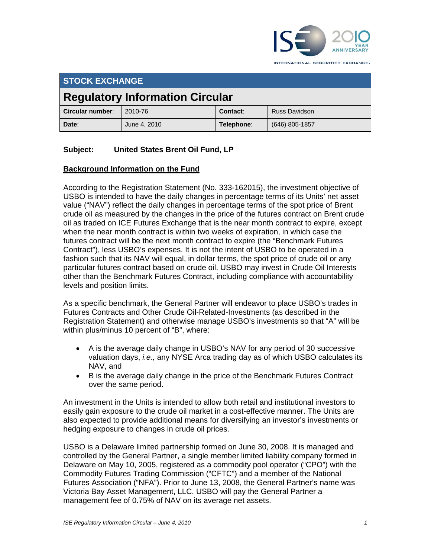

**STOCK EXCHANGE** 

# **Regulatory Information Circular**

| ∣ Circular number: | 2010-76      | Contact:   | <b>Russ Davidson</b> |
|--------------------|--------------|------------|----------------------|
| Date:              | June 4, 2010 | Telephone: | (646) 805-1857       |

# **Subject: United States Brent Oil Fund, LP**

### **Background Information on the Fund**

According to the Registration Statement (No. 333-162015), the investment objective of USBO is intended to have the daily changes in percentage terms of its Units' net asset value ("NAV") reflect the daily changes in percentage terms of the spot price of Brent crude oil as measured by the changes in the price of the futures contract on Brent crude oil as traded on ICE Futures Exchange that is the near month contract to expire, except when the near month contract is within two weeks of expiration, in which case the futures contract will be the next month contract to expire (the "Benchmark Futures Contract"), less USBO's expenses. It is not the intent of USBO to be operated in a fashion such that its NAV will equal, in dollar terms, the spot price of crude oil or any particular futures contract based on crude oil. USBO may invest in Crude Oil Interests other than the Benchmark Futures Contract, including compliance with accountability levels and position limits.

As a specific benchmark, the General Partner will endeavor to place USBO's trades in Futures Contracts and Other Crude Oil-Related-Investments (as described in the Registration Statement) and otherwise manage USBO's investments so that "A" will be within plus/minus 10 percent of "B", where:

- A is the average daily change in USBO's NAV for any period of 30 successive valuation days, *i.e.,* any NYSE Arca trading day as of which USBO calculates its NAV, and
- B is the average daily change in the price of the Benchmark Futures Contract over the same period.

An investment in the Units is intended to allow both retail and institutional investors to easily gain exposure to the crude oil market in a cost-effective manner. The Units are also expected to provide additional means for diversifying an investor's investments or hedging exposure to changes in crude oil prices.

USBO is a Delaware limited partnership formed on June 30, 2008. It is managed and controlled by the General Partner, a single member limited liability company formed in Delaware on May 10, 2005, registered as a commodity pool operator ("CPO") with the Commodity Futures Trading Commission ("CFTC") and a member of the National Futures Association ("NFA"). Prior to June 13, 2008, the General Partner's name was Victoria Bay Asset Management, LLC. USBO will pay the General Partner a management fee of 0.75% of NAV on its average net assets.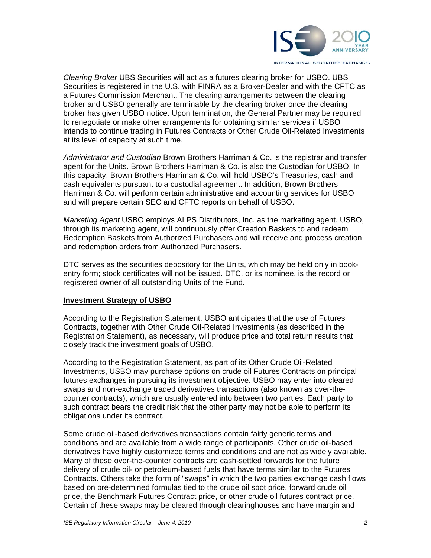

*Clearing Broker* UBS Securities will act as a futures clearing broker for USBO. UBS Securities is registered in the U.S. with FINRA as a Broker-Dealer and with the CFTC as a Futures Commission Merchant. The clearing arrangements between the clearing broker and USBO generally are terminable by the clearing broker once the clearing broker has given USBO notice. Upon termination, the General Partner may be required to renegotiate or make other arrangements for obtaining similar services if USBO intends to continue trading in Futures Contracts or Other Crude Oil-Related Investments at its level of capacity at such time.

*Administrator and Custodian* Brown Brothers Harriman & Co. is the registrar and transfer agent for the Units. Brown Brothers Harriman & Co. is also the Custodian for USBO. In this capacity, Brown Brothers Harriman & Co. will hold USBO's Treasuries, cash and cash equivalents pursuant to a custodial agreement. In addition, Brown Brothers Harriman & Co. will perform certain administrative and accounting services for USBO and will prepare certain SEC and CFTC reports on behalf of USBO.

*Marketing Agent* USBO employs ALPS Distributors, Inc. as the marketing agent. USBO, through its marketing agent, will continuously offer Creation Baskets to and redeem Redemption Baskets from Authorized Purchasers and will receive and process creation and redemption orders from Authorized Purchasers.

DTC serves as the securities depository for the Units, which may be held only in bookentry form; stock certificates will not be issued. DTC, or its nominee, is the record or registered owner of all outstanding Units of the Fund.

#### **Investment Strategy of USBO**

According to the Registration Statement, USBO anticipates that the use of Futures Contracts, together with Other Crude Oil-Related Investments (as described in the Registration Statement), as necessary, will produce price and total return results that closely track the investment goals of USBO.

According to the Registration Statement, as part of its Other Crude Oil-Related Investments, USBO may purchase options on crude oil Futures Contracts on principal futures exchanges in pursuing its investment objective. USBO may enter into cleared swaps and non-exchange traded derivatives transactions (also known as over-thecounter contracts), which are usually entered into between two parties. Each party to such contract bears the credit risk that the other party may not be able to perform its obligations under its contract.

Some crude oil-based derivatives transactions contain fairly generic terms and conditions and are available from a wide range of participants. Other crude oil-based derivatives have highly customized terms and conditions and are not as widely available. Many of these over-the-counter contracts are cash-settled forwards for the future delivery of crude oil- or petroleum-based fuels that have terms similar to the Futures Contracts. Others take the form of "swaps" in which the two parties exchange cash flows based on pre-determined formulas tied to the crude oil spot price, forward crude oil price, the Benchmark Futures Contract price, or other crude oil futures contract price. Certain of these swaps may be cleared through clearinghouses and have margin and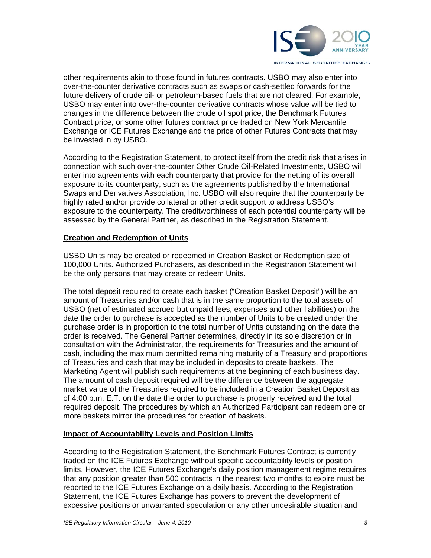

other requirements akin to those found in futures contracts. USBO may also enter into over-the-counter derivative contracts such as swaps or cash-settled forwards for the future delivery of crude oil- or petroleum-based fuels that are not cleared. For example, USBO may enter into over-the-counter derivative contracts whose value will be tied to changes in the difference between the crude oil spot price, the Benchmark Futures Contract price, or some other futures contract price traded on New York Mercantile Exchange or ICE Futures Exchange and the price of other Futures Contracts that may be invested in by USBO.

According to the Registration Statement, to protect itself from the credit risk that arises in connection with such over-the-counter Other Crude Oil-Related Investments, USBO will enter into agreements with each counterparty that provide for the netting of its overall exposure to its counterparty, such as the agreements published by the International Swaps and Derivatives Association, Inc. USBO will also require that the counterparty be highly rated and/or provide collateral or other credit support to address USBO's exposure to the counterparty. The creditworthiness of each potential counterparty will be assessed by the General Partner, as described in the Registration Statement.

#### **Creation and Redemption of Units**

USBO Units may be created or redeemed in Creation Basket or Redemption size of 100,000 Units. Authorized Purchasers, as described in the Registration Statement will be the only persons that may create or redeem Units.

The total deposit required to create each basket ("Creation Basket Deposit") will be an amount of Treasuries and/or cash that is in the same proportion to the total assets of USBO (net of estimated accrued but unpaid fees, expenses and other liabilities) on the date the order to purchase is accepted as the number of Units to be created under the purchase order is in proportion to the total number of Units outstanding on the date the order is received. The General Partner determines, directly in its sole discretion or in consultation with the Administrator, the requirements for Treasuries and the amount of cash, including the maximum permitted remaining maturity of a Treasury and proportions of Treasuries and cash that may be included in deposits to create baskets. The Marketing Agent will publish such requirements at the beginning of each business day. The amount of cash deposit required will be the difference between the aggregate market value of the Treasuries required to be included in a Creation Basket Deposit as of 4:00 p.m. E.T. on the date the order to purchase is properly received and the total required deposit. The procedures by which an Authorized Participant can redeem one or more baskets mirror the procedures for creation of baskets.

#### **Impact of Accountability Levels and Position Limits**

According to the Registration Statement, the Benchmark Futures Contract is currently traded on the ICE Futures Exchange without specific accountability levels or position limits. However, the ICE Futures Exchange's daily position management regime requires that any position greater than 500 contracts in the nearest two months to expire must be reported to the ICE Futures Exchange on a daily basis. According to the Registration Statement, the ICE Futures Exchange has powers to prevent the development of excessive positions or unwarranted speculation or any other undesirable situation and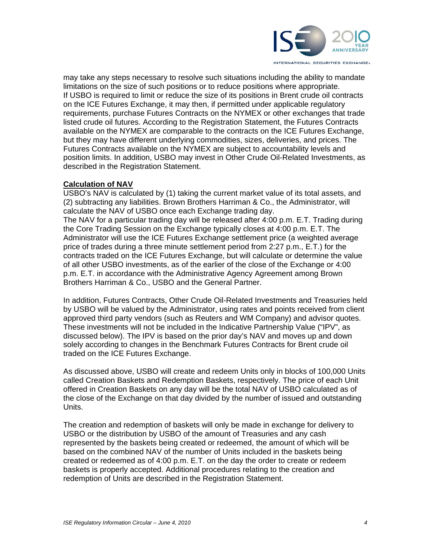

may take any steps necessary to resolve such situations including the ability to mandate limitations on the size of such positions or to reduce positions where appropriate. If USBO is required to limit or reduce the size of its positions in Brent crude oil contracts on the ICE Futures Exchange, it may then, if permitted under applicable regulatory requirements, purchase Futures Contracts on the NYMEX or other exchanges that trade listed crude oil futures. According to the Registration Statement, the Futures Contracts available on the NYMEX are comparable to the contracts on the ICE Futures Exchange, but they may have different underlying commodities, sizes, deliveries, and prices. The Futures Contracts available on the NYMEX are subject to accountability levels and position limits. In addition, USBO may invest in Other Crude Oil-Related Investments, as described in the Registration Statement.

#### **Calculation of NAV**

USBO's NAV is calculated by (1) taking the current market value of its total assets, and (2) subtracting any liabilities. Brown Brothers Harriman & Co., the Administrator, will calculate the NAV of USBO once each Exchange trading day.

The NAV for a particular trading day will be released after 4:00 p.m. E.T. Trading during the Core Trading Session on the Exchange typically closes at 4:00 p.m. E.T. The Administrator will use the ICE Futures Exchange settlement price (a weighted average price of trades during a three minute settlement period from 2:27 p.m., E.T.) for the contracts traded on the ICE Futures Exchange, but will calculate or determine the value of all other USBO investments, as of the earlier of the close of the Exchange or 4:00 p.m. E.T. in accordance with the Administrative Agency Agreement among Brown Brothers Harriman & Co., USBO and the General Partner.

In addition, Futures Contracts, Other Crude Oil-Related Investments and Treasuries held by USBO will be valued by the Administrator, using rates and points received from client approved third party vendors (such as Reuters and WM Company) and advisor quotes. These investments will not be included in the Indicative Partnership Value ("IPV", as discussed below). The IPV is based on the prior day's NAV and moves up and down solely according to changes in the Benchmark Futures Contracts for Brent crude oil traded on the ICE Futures Exchange.

As discussed above, USBO will create and redeem Units only in blocks of 100,000 Units called Creation Baskets and Redemption Baskets, respectively. The price of each Unit offered in Creation Baskets on any day will be the total NAV of USBO calculated as of the close of the Exchange on that day divided by the number of issued and outstanding Units.

The creation and redemption of baskets will only be made in exchange for delivery to USBO or the distribution by USBO of the amount of Treasuries and any cash represented by the baskets being created or redeemed, the amount of which will be based on the combined NAV of the number of Units included in the baskets being created or redeemed as of 4:00 p.m. E.T. on the day the order to create or redeem baskets is properly accepted. Additional procedures relating to the creation and redemption of Units are described in the Registration Statement.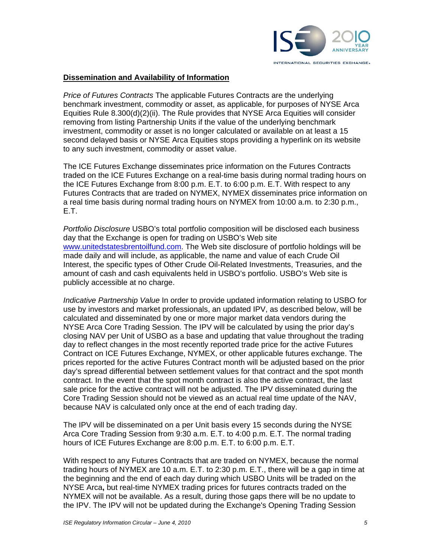

#### **Dissemination and Availability of Information**

*Price of Futures Contracts* The applicable Futures Contracts are the underlying benchmark investment, commodity or asset, as applicable, for purposes of NYSE Arca Equities Rule 8.300(d)(2)(ii). The Rule provides that NYSE Arca Equities will consider removing from listing Partnership Units if the value of the underlying benchmark investment, commodity or asset is no longer calculated or available on at least a 15 second delayed basis or NYSE Arca Equities stops providing a hyperlink on its website to any such investment, commodity or asset value.

The ICE Futures Exchange disseminates price information on the Futures Contracts traded on the ICE Futures Exchange on a real-time basis during normal trading hours on the ICE Futures Exchange from 8:00 p.m. E.T. to 6:00 p.m. E.T. With respect to any Futures Contracts that are traded on NYMEX, NYMEX disseminates price information on a real time basis during normal trading hours on NYMEX from 10:00 a.m. to 2:30 p.m., E.T.

*Portfolio Disclosure* USBO's total portfolio composition will be disclosed each business day that the Exchange is open for trading on USBO's Web site www.unitedstatesbrentoilfund.com. The Web site disclosure of portfolio holdings will be made daily and will include, as applicable, the name and value of each Crude Oil Interest, the specific types of Other Crude Oil-Related Investments, Treasuries, and the amount of cash and cash equivalents held in USBO's portfolio. USBO's Web site is publicly accessible at no charge.

*Indicative Partnership Value* In order to provide updated information relating to USBO for use by investors and market professionals, an updated IPV, as described below, will be calculated and disseminated by one or more major market data vendors during the NYSE Arca Core Trading Session. The IPV will be calculated by using the prior day's closing NAV per Unit of USBO as a base and updating that value throughout the trading day to reflect changes in the most recently reported trade price for the active Futures Contract on ICE Futures Exchange, NYMEX, or other applicable futures exchange. The prices reported for the active Futures Contract month will be adjusted based on the prior day's spread differential between settlement values for that contract and the spot month contract. In the event that the spot month contract is also the active contract, the last sale price for the active contract will not be adjusted. The IPV disseminated during the Core Trading Session should not be viewed as an actual real time update of the NAV, because NAV is calculated only once at the end of each trading day.

The IPV will be disseminated on a per Unit basis every 15 seconds during the NYSE Arca Core Trading Session from 9:30 a.m. E.T. to 4:00 p.m. E.T. The normal trading hours of ICE Futures Exchange are 8:00 p.m. E.T. to 6:00 p.m. E.T.

With respect to any Futures Contracts that are traded on NYMEX, because the normal trading hours of NYMEX are 10 a.m. E.T. to 2:30 p.m. E.T., there will be a gap in time at the beginning and the end of each day during which USBO Units will be traded on the NYSE Arca**,** but real-time NYMEX trading prices for futures contracts traded on the NYMEX will not be available. As a result, during those gaps there will be no update to the IPV. The IPV will not be updated during the Exchange's Opening Trading Session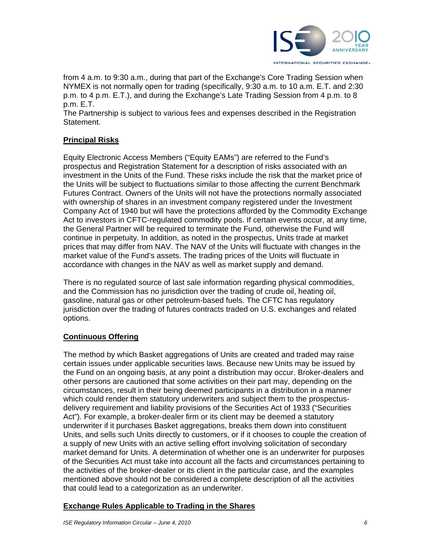

from 4 a.m. to 9:30 a.m., during that part of the Exchange's Core Trading Session when NYMEX is not normally open for trading (specifically, 9:30 a.m. to 10 a.m. E.T. and 2:30 p.m. to 4 p.m. E.T.), and during the Exchange's Late Trading Session from 4 p.m. to 8 p.m. E.T.

The Partnership is subject to various fees and expenses described in the Registration Statement.

### **Principal Risks**

Equity Electronic Access Members ("Equity EAMs") are referred to the Fund's prospectus and Registration Statement for a description of risks associated with an investment in the Units of the Fund. These risks include the risk that the market price of the Units will be subject to fluctuations similar to those affecting the current Benchmark Futures Contract. Owners of the Units will not have the protections normally associated with ownership of shares in an investment company registered under the Investment Company Act of 1940 but will have the protections afforded by the Commodity Exchange Act to investors in CFTC-regulated commodity pools. If certain events occur, at any time, the General Partner will be required to terminate the Fund, otherwise the Fund will continue in perpetuity. In addition, as noted in the prospectus, Units trade at market prices that may differ from NAV. The NAV of the Units will fluctuate with changes in the market value of the Fund's assets. The trading prices of the Units will fluctuate in accordance with changes in the NAV as well as market supply and demand.

There is no regulated source of last sale information regarding physical commodities, and the Commission has no jurisdiction over the trading of crude oil, heating oil, gasoline, natural gas or other petroleum-based fuels. The CFTC has regulatory jurisdiction over the trading of futures contracts traded on U.S. exchanges and related options.

## **Continuous Offering**

The method by which Basket aggregations of Units are created and traded may raise certain issues under applicable securities laws. Because new Units may be issued by the Fund on an ongoing basis, at any point a distribution may occur. Broker-dealers and other persons are cautioned that some activities on their part may, depending on the circumstances, result in their being deemed participants in a distribution in a manner which could render them statutory underwriters and subject them to the prospectusdelivery requirement and liability provisions of the Securities Act of 1933 ("Securities Act"). For example, a broker-dealer firm or its client may be deemed a statutory underwriter if it purchases Basket aggregations, breaks them down into constituent Units, and sells such Units directly to customers, or if it chooses to couple the creation of a supply of new Units with an active selling effort involving solicitation of secondary market demand for Units. A determination of whether one is an underwriter for purposes of the Securities Act must take into account all the facts and circumstances pertaining to the activities of the broker-dealer or its client in the particular case, and the examples mentioned above should not be considered a complete description of all the activities that could lead to a categorization as an underwriter.

#### **Exchange Rules Applicable to Trading in the Shares**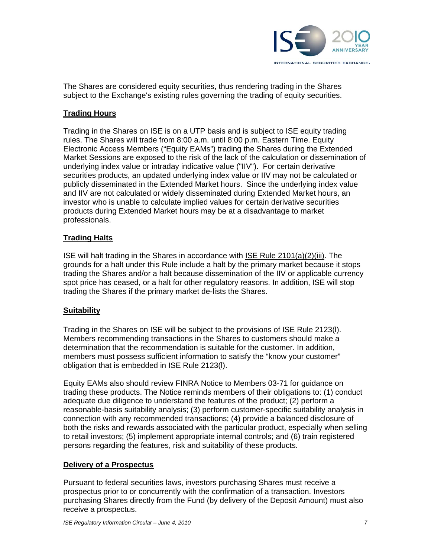

The Shares are considered equity securities, thus rendering trading in the Shares subject to the Exchange's existing rules governing the trading of equity securities.

#### **Trading Hours**

Trading in the Shares on ISE is on a UTP basis and is subject to ISE equity trading rules. The Shares will trade from 8:00 a.m. until 8:00 p.m. Eastern Time. Equity Electronic Access Members ("Equity EAMs") trading the Shares during the Extended Market Sessions are exposed to the risk of the lack of the calculation or dissemination of underlying index value or intraday indicative value ("IIV"). For certain derivative securities products, an updated underlying index value or IIV may not be calculated or publicly disseminated in the Extended Market hours. Since the underlying index value and IIV are not calculated or widely disseminated during Extended Market hours, an investor who is unable to calculate implied values for certain derivative securities products during Extended Market hours may be at a disadvantage to market professionals.

### **Trading Halts**

ISE will halt trading in the Shares in accordance with ISE Rule 2101(a)(2)(iii). The grounds for a halt under this Rule include a halt by the primary market because it stops trading the Shares and/or a halt because dissemination of the IIV or applicable currency spot price has ceased, or a halt for other regulatory reasons. In addition, ISE will stop trading the Shares if the primary market de-lists the Shares.

#### **Suitability**

Trading in the Shares on ISE will be subject to the provisions of ISE Rule 2123(l). Members recommending transactions in the Shares to customers should make a determination that the recommendation is suitable for the customer. In addition, members must possess sufficient information to satisfy the "know your customer" obligation that is embedded in ISE Rule 2123(l).

Equity EAMs also should review FINRA Notice to Members 03-71 for guidance on trading these products. The Notice reminds members of their obligations to: (1) conduct adequate due diligence to understand the features of the product; (2) perform a reasonable-basis suitability analysis; (3) perform customer-specific suitability analysis in connection with any recommended transactions; (4) provide a balanced disclosure of both the risks and rewards associated with the particular product, especially when selling to retail investors; (5) implement appropriate internal controls; and (6) train registered persons regarding the features, risk and suitability of these products.

#### **Delivery of a Prospectus**

Pursuant to federal securities laws, investors purchasing Shares must receive a prospectus prior to or concurrently with the confirmation of a transaction. Investors purchasing Shares directly from the Fund (by delivery of the Deposit Amount) must also receive a prospectus.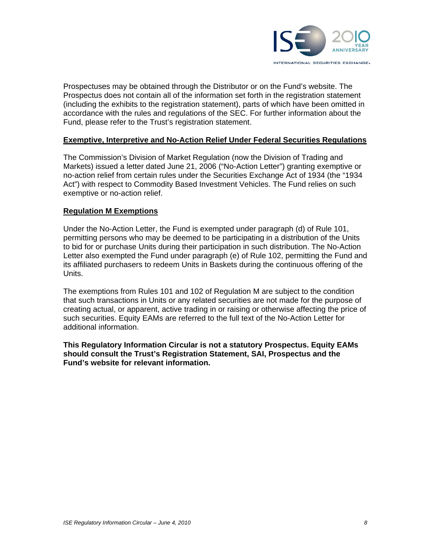

Prospectuses may be obtained through the Distributor or on the Fund's website. The Prospectus does not contain all of the information set forth in the registration statement (including the exhibits to the registration statement), parts of which have been omitted in accordance with the rules and regulations of the SEC. For further information about the Fund, please refer to the Trust's registration statement.

#### **Exemptive, Interpretive and No-Action Relief Under Federal Securities Regulations**

The Commission's Division of Market Regulation (now the Division of Trading and Markets) issued a letter dated June 21, 2006 ("No-Action Letter") granting exemptive or no-action relief from certain rules under the Securities Exchange Act of 1934 (the "1934 Act") with respect to Commodity Based Investment Vehicles. The Fund relies on such exemptive or no-action relief.

#### **Regulation M Exemptions**

Under the No-Action Letter, the Fund is exempted under paragraph (d) of Rule 101, permitting persons who may be deemed to be participating in a distribution of the Units to bid for or purchase Units during their participation in such distribution. The No-Action Letter also exempted the Fund under paragraph (e) of Rule 102, permitting the Fund and its affiliated purchasers to redeem Units in Baskets during the continuous offering of the Units.

The exemptions from Rules 101 and 102 of Regulation M are subject to the condition that such transactions in Units or any related securities are not made for the purpose of creating actual, or apparent, active trading in or raising or otherwise affecting the price of such securities. Equity EAMs are referred to the full text of the No-Action Letter for additional information.

**This Regulatory Information Circular is not a statutory Prospectus. Equity EAMs should consult the Trust's Registration Statement, SAI, Prospectus and the Fund's website for relevant information.**